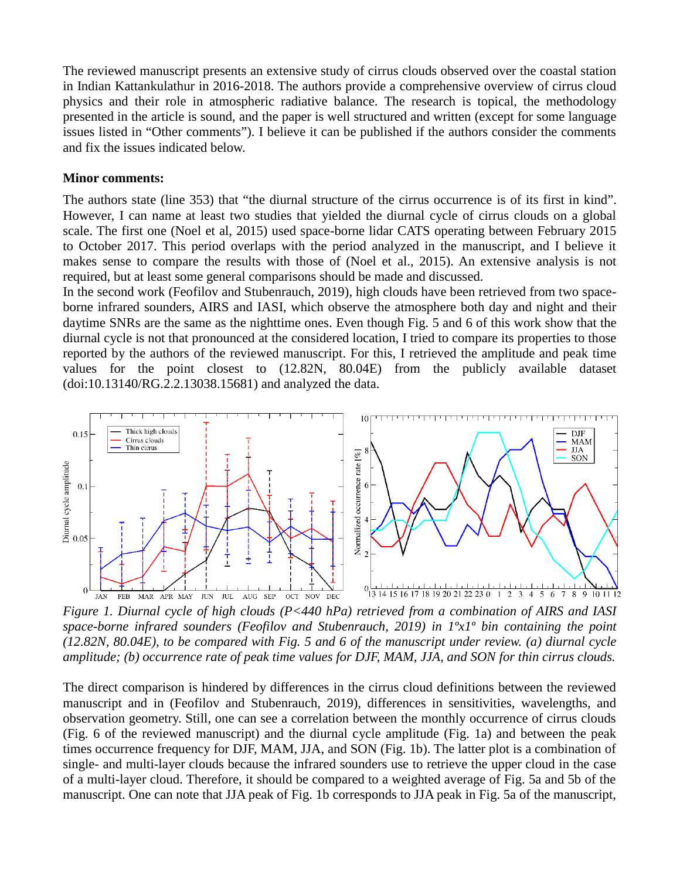The reviewed manuscript presents an extensive study of cirrus clouds observed over the coastal station in Indian Kattankulathur in 2016-2018. The authors provide a comprehensive overview of cirrus cloud physics and their role in atmospheric radiative balance. The research is topical, the methodology presented in the article is sound, and the paper is well structured and written (except for some language issues listed in "Other comments"). I believe it can be published if the authors consider the comments and fix the issues indicated below.

## **Minor comments:**

The authors state (line 353) that "the diurnal structure of the cirrus occurrence is of its first in kind". However, I can name at least two studies that yielded the diurnal cycle of cirrus clouds on a global scale. The first one (Noel et al, 2015) used space-borne lidar CATS operating between February 2015 to October 2017. This period overlaps with the period analyzed in the manuscript, and I believe it makes sense to compare the results with those of (Noel et al., 2015). An extensive analysis is not required, but at least some general comparisons should be made and discussed.

In the second work (Feofilov and Stubenrauch, 2019), high clouds have been retrieved from two spaceborne infrared sounders, AIRS and IASI, which observe the atmosphere both day and night and their daytime SNRs are the same as the nighttime ones. Even though Fig. 5 and 6 of this work show that the diurnal cycle is not that pronounced at the considered location, I tried to compare its properties to those reported by the authors of the reviewed manuscript. For this, I retrieved the amplitude and peak time values for the point closest to (12.82N, 80.04E) from the publicly available dataset (doi:10.13140/RG.2.2.13038.15681) and analyzed the data.



*Figure 1. Diurnal cycle of high clouds (P<440 hPa) retrieved from a combination of AIRS and IASI space-borne infrared sounders (Feofilov and Stubenrauch, 2019) in 1ºx1º bin containing the point (12.82N, 80.04E), to be compared with Fig. 5 and 6 of the manuscript under review. (a) diurnal cycle amplitude; (b) occurrence rate of peak time values for DJF, MAM, JJA, and SON for thin cirrus clouds.*

The direct comparison is hindered by differences in the cirrus cloud definitions between the reviewed manuscript and in (Feofilov and Stubenrauch, 2019), differences in sensitivities, wavelengths, and observation geometry. Still, one can see a correlation between the monthly occurrence of cirrus clouds (Fig. 6 of the reviewed manuscript) and the diurnal cycle amplitude (Fig. 1a) and between the peak times occurrence frequency for DJF, MAM, JJA, and SON (Fig. 1b). The latter plot is a combination of single- and multi-layer clouds because the infrared sounders use to retrieve the upper cloud in the case of a multi-layer cloud. Therefore, it should be compared to a weighted average of Fig. 5a and 5b of the manuscript. One can note that JJA peak of Fig. 1b corresponds to JJA peak in Fig. 5a of the manuscript,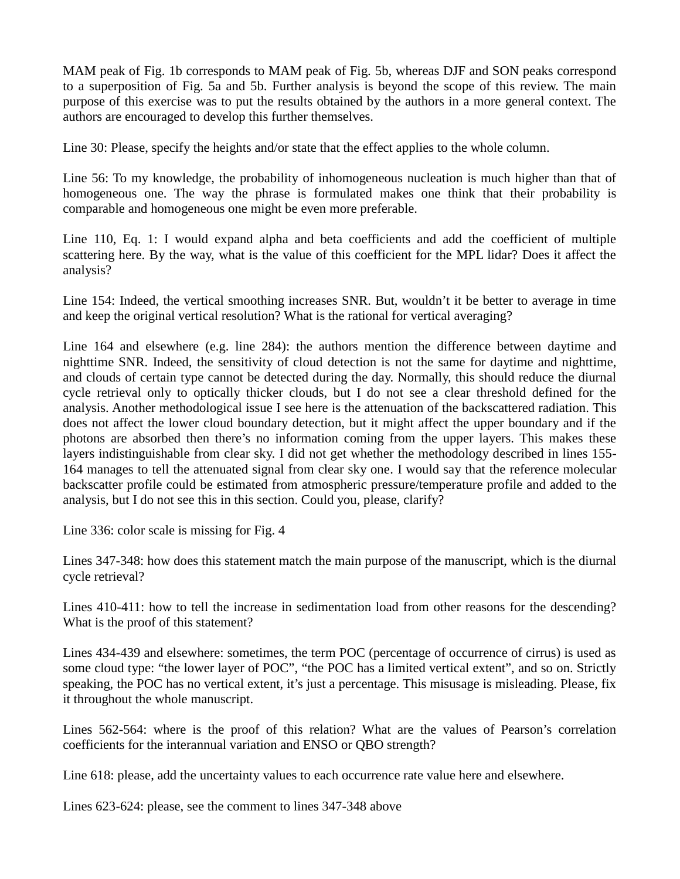MAM peak of Fig. 1b corresponds to MAM peak of Fig. 5b, whereas DJF and SON peaks correspond to a superposition of Fig. 5a and 5b. Further analysis is beyond the scope of this review. The main purpose of this exercise was to put the results obtained by the authors in a more general context. The authors are encouraged to develop this further themselves.

Line 30: Please, specify the heights and/or state that the effect applies to the whole column.

Line 56: To my knowledge, the probability of inhomogeneous nucleation is much higher than that of homogeneous one. The way the phrase is formulated makes one think that their probability is comparable and homogeneous one might be even more preferable.

Line 110, Eq. 1: I would expand alpha and beta coefficients and add the coefficient of multiple scattering here. By the way, what is the value of this coefficient for the MPL lidar? Does it affect the analysis?

Line 154: Indeed, the vertical smoothing increases SNR. But, wouldn't it be better to average in time and keep the original vertical resolution? What is the rational for vertical averaging?

Line 164 and elsewhere (e.g. line 284): the authors mention the difference between daytime and nighttime SNR. Indeed, the sensitivity of cloud detection is not the same for daytime and nighttime, and clouds of certain type cannot be detected during the day. Normally, this should reduce the diurnal cycle retrieval only to optically thicker clouds, but I do not see a clear threshold defined for the analysis. Another methodological issue I see here is the attenuation of the backscattered radiation. This does not affect the lower cloud boundary detection, but it might affect the upper boundary and if the photons are absorbed then there's no information coming from the upper layers. This makes these layers indistinguishable from clear sky. I did not get whether the methodology described in lines 155- 164 manages to tell the attenuated signal from clear sky one. I would say that the reference molecular backscatter profile could be estimated from atmospheric pressure/temperature profile and added to the analysis, but I do not see this in this section. Could you, please, clarify?

Line 336: color scale is missing for Fig. 4

Lines 347-348: how does this statement match the main purpose of the manuscript, which is the diurnal cycle retrieval?

Lines 410-411: how to tell the increase in sedimentation load from other reasons for the descending? What is the proof of this statement?

Lines 434-439 and elsewhere: sometimes, the term POC (percentage of occurrence of cirrus) is used as some cloud type: "the lower layer of POC", "the POC has a limited vertical extent", and so on. Strictly speaking, the POC has no vertical extent, it's just a percentage. This misusage is misleading. Please, fix it throughout the whole manuscript.

Lines 562-564: where is the proof of this relation? What are the values of Pearson's correlation coefficients for the interannual variation and ENSO or QBO strength?

Line 618: please, add the uncertainty values to each occurrence rate value here and elsewhere.

Lines 623-624: please, see the comment to lines 347-348 above